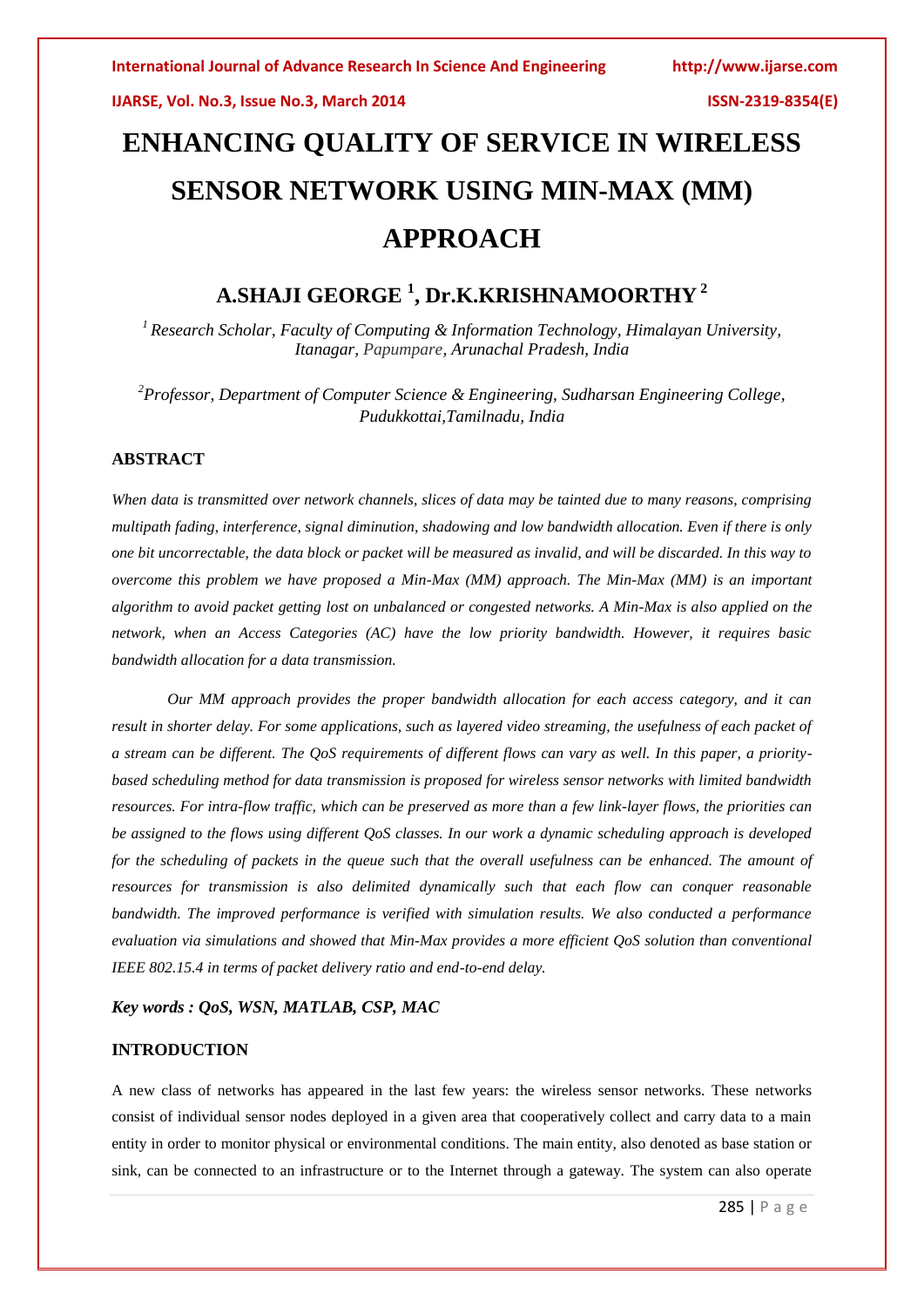# **ENHANCING QUALITY OF SERVICE IN WIRELESS SENSOR NETWORK USING MIN-MAX (MM) APPROACH**

# **A.SHAJI GEORGE <sup>1</sup> , Dr.K.KRISHNAMOORTHY <sup>2</sup>**

*<sup>1</sup> Research Scholar, Faculty of Computing & Information Technology, Himalayan University, Itanagar, Papumpare, Arunachal Pradesh, India*

*<sup>2</sup>Professor, Department of Computer Science & Engineering, Sudharsan Engineering College, Pudukkottai,Tamilnadu, India*

# **ABSTRACT**

*When data is transmitted over network channels, slices of data may be tainted due to many reasons, comprising multipath fading, interference, signal diminution, shadowing and low bandwidth allocation. Even if there is only one bit uncorrectable, the data block or packet will be measured as invalid, and will be discarded. In this way to overcome this problem we have proposed a Min-Max (MM) approach. The Min-Max (MM) is an important algorithm to avoid packet getting lost on unbalanced or congested networks. A Min-Max is also applied on the network, when an Access Categories (AC) have the low priority bandwidth. However, it requires basic bandwidth allocation for a data transmission.* 

*Our MM approach provides the proper bandwidth allocation for each access category, and it can result in shorter delay. For some applications, such as layered video streaming, the usefulness of each packet of a stream can be different. The QoS requirements of different flows can vary as well. In this paper, a prioritybased scheduling method for data transmission is proposed for wireless sensor networks with limited bandwidth resources. For intra-flow traffic, which can be preserved as more than a few link-layer flows, the priorities can be assigned to the flows using different QoS classes. In our work a dynamic scheduling approach is developed for the scheduling of packets in the queue such that the overall usefulness can be enhanced. The amount of resources for transmission is also delimited dynamically such that each flow can conquer reasonable bandwidth. The improved performance is verified with simulation results. We also conducted a performance evaluation via simulations and showed that Min-Max provides a more efficient QoS solution than conventional IEEE 802.15.4 in terms of packet delivery ratio and end-to-end delay.*

## *Key words : QoS, WSN, MATLAB, CSP, MAC*

# **INTRODUCTION**

A new class of networks has appeared in the last few years: the wireless sensor networks. These networks consist of individual sensor nodes deployed in a given area that cooperatively collect and carry data to a main entity in order to monitor physical or environmental conditions. The main entity, also denoted as base station or sink, can be connected to an infrastructure or to the Internet through a gateway. The system can also operate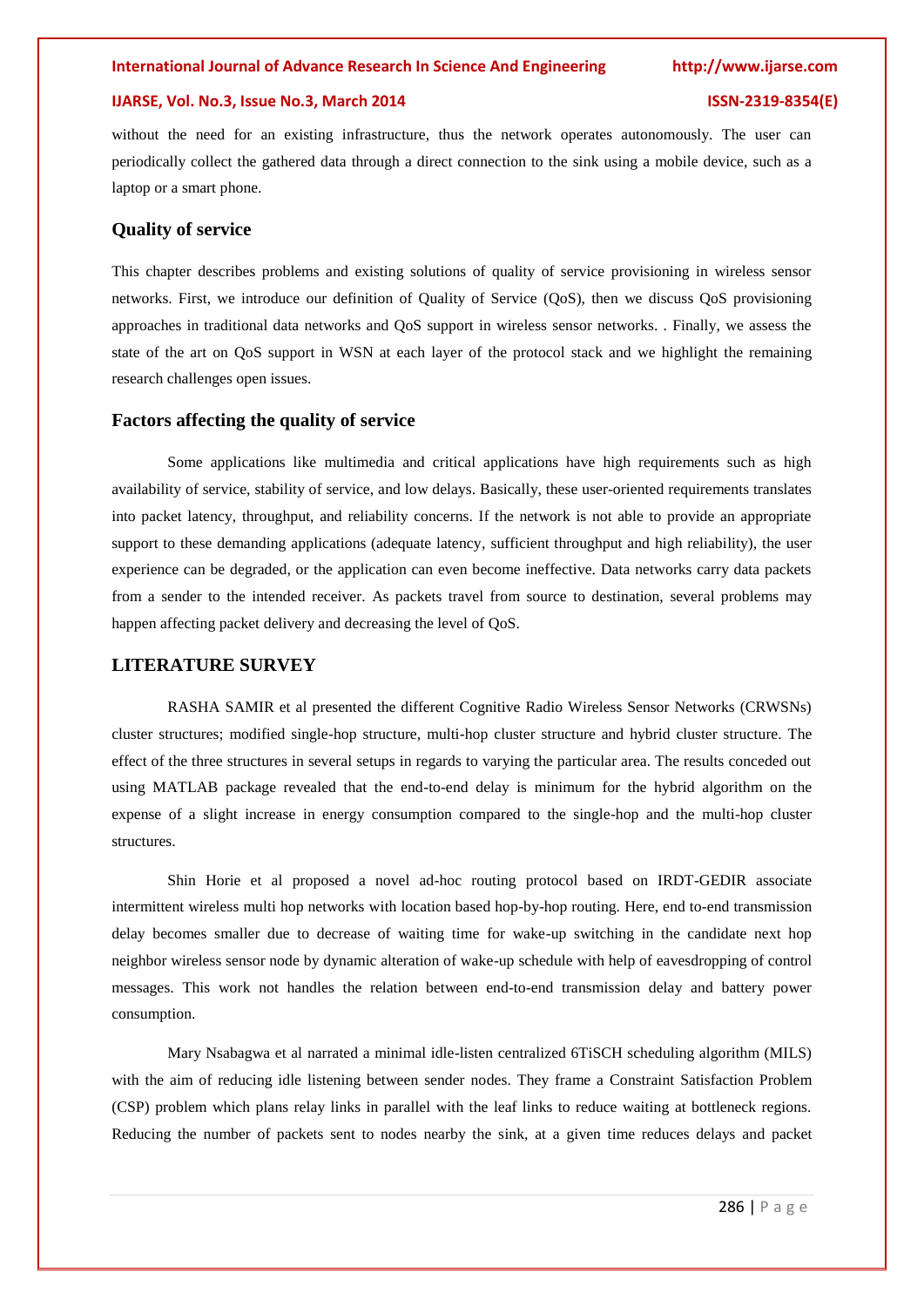# **IJARSE, Vol. No.3, Issue No.3, March 2014 ISSN-2319-8354(E)**

without the need for an existing infrastructure, thus the network operates autonomously. The user can periodically collect the gathered data through a direct connection to the sink using a mobile device, such as a laptop or a smart phone.

# **Quality of service**

This chapter describes problems and existing solutions of quality of service provisioning in wireless sensor networks. First, we introduce our definition of Quality of Service (QoS), then we discuss QoS provisioning approaches in traditional data networks and QoS support in wireless sensor networks. . Finally, we assess the state of the art on QoS support in WSN at each layer of the protocol stack and we highlight the remaining research challenges open issues.

# **Factors affecting the quality of service**

Some applications like multimedia and critical applications have high requirements such as high availability of service, stability of service, and low delays. Basically, these user-oriented requirements translates into packet latency, throughput, and reliability concerns. If the network is not able to provide an appropriate support to these demanding applications (adequate latency, sufficient throughput and high reliability), the user experience can be degraded, or the application can even become ineffective. Data networks carry data packets from a sender to the intended receiver. As packets travel from source to destination, several problems may happen affecting packet delivery and decreasing the level of QoS.

# **LITERATURE SURVEY**

RASHA SAMIR et al presented the different Cognitive Radio Wireless Sensor Networks (CRWSNs) cluster structures; modified single-hop structure, multi-hop cluster structure and hybrid cluster structure. The effect of the three structures in several setups in regards to varying the particular area. The results conceded out using MATLAB package revealed that the end-to-end delay is minimum for the hybrid algorithm on the expense of a slight increase in energy consumption compared to the single-hop and the multi-hop cluster structures.

Shin Horie et al proposed a novel ad-hoc routing protocol based on IRDT-GEDIR associate intermittent wireless multi hop networks with location based hop-by-hop routing. Here, end to-end transmission delay becomes smaller due to decrease of waiting time for wake-up switching in the candidate next hop neighbor wireless sensor node by dynamic alteration of wake-up schedule with help of eavesdropping of control messages. This work not handles the relation between end-to-end transmission delay and battery power consumption.

Mary Nsabagwa et al narrated a minimal idle-listen centralized 6TiSCH scheduling algorithm (MILS) with the aim of reducing idle listening between sender nodes. They frame a Constraint Satisfaction Problem (CSP) problem which plans relay links in parallel with the leaf links to reduce waiting at bottleneck regions. Reducing the number of packets sent to nodes nearby the sink, at a given time reduces delays and packet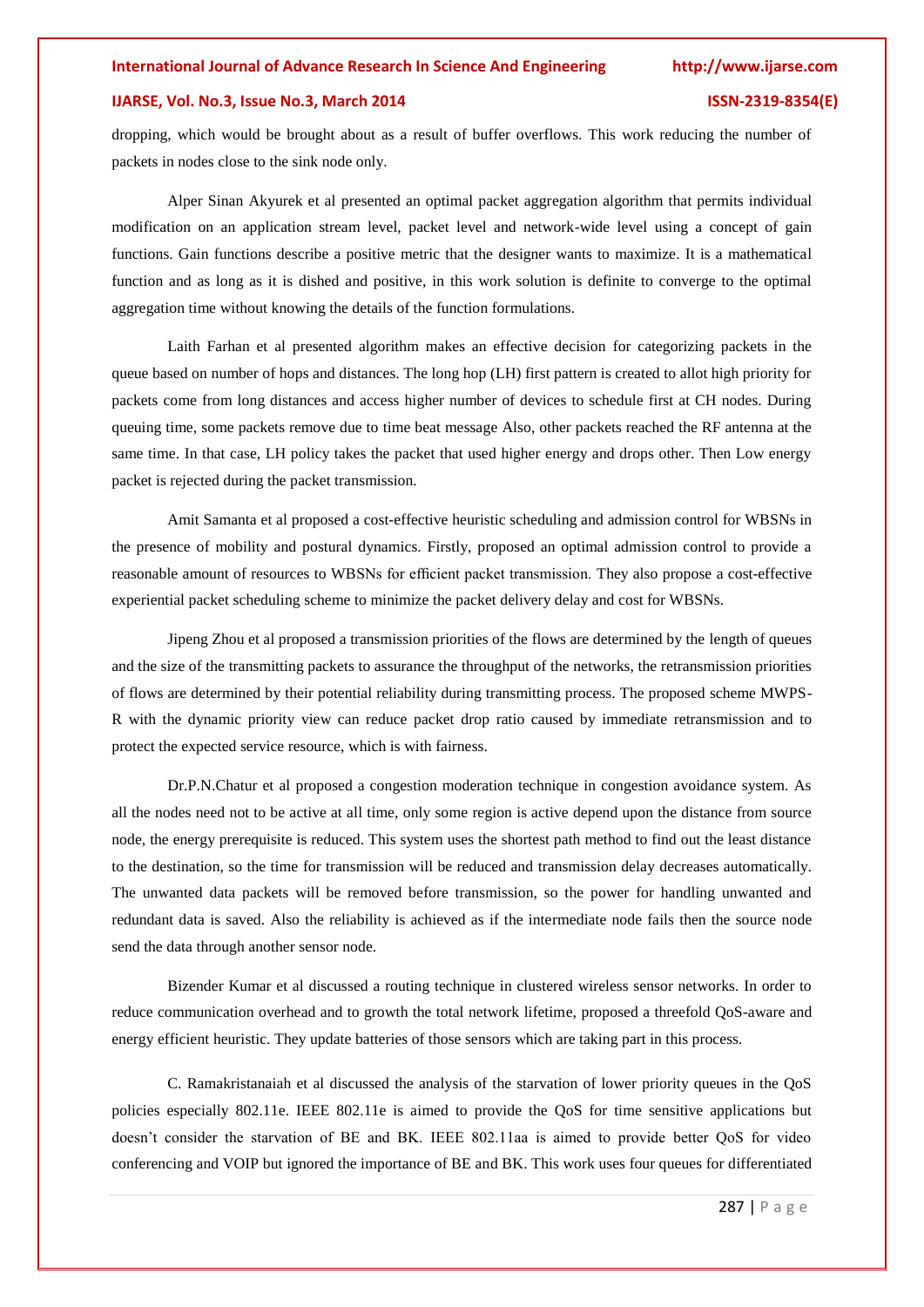# **IJARSE, Vol. No.3, Issue No.3, March 2014 ISSN-2319-8354(E)**

dropping, which would be brought about as a result of buffer overflows. This work reducing the number of packets in nodes close to the sink node only.

Alper Sinan Akyurek et al presented an optimal packet aggregation algorithm that permits individual modification on an application stream level, packet level and network-wide level using a concept of gain functions. Gain functions describe a positive metric that the designer wants to maximize. It is a mathematical function and as long as it is dished and positive, in this work solution is definite to converge to the optimal aggregation time without knowing the details of the function formulations.

Laith Farhan et al presented algorithm makes an effective decision for categorizing packets in the queue based on number of hops and distances. The long hop (LH) first pattern is created to allot high priority for packets come from long distances and access higher number of devices to schedule first at CH nodes. During queuing time, some packets remove due to time beat message Also, other packets reached the RF antenna at the same time. In that case, LH policy takes the packet that used higher energy and drops other. Then Low energy packet is rejected during the packet transmission.

Amit Samanta et al proposed a cost-effective heuristic scheduling and admission control for WBSNs in the presence of mobility and postural dynamics. Firstly, proposed an optimal admission control to provide a reasonable amount of resources to WBSNs for efficient packet transmission. They also propose a cost-effective experiential packet scheduling scheme to minimize the packet delivery delay and cost for WBSNs.

Jipeng Zhou et al proposed a transmission priorities of the flows are determined by the length of queues and the size of the transmitting packets to assurance the throughput of the networks, the retransmission priorities of flows are determined by their potential reliability during transmitting process. The proposed scheme MWPS-R with the dynamic priority view can reduce packet drop ratio caused by immediate retransmission and to protect the expected service resource, which is with fairness.

Dr.P.N.Chatur et al proposed a congestion moderation technique in congestion avoidance system. As all the nodes need not to be active at all time, only some region is active depend upon the distance from source node, the energy prerequisite is reduced. This system uses the shortest path method to find out the least distance to the destination, so the time for transmission will be reduced and transmission delay decreases automatically. The unwanted data packets will be removed before transmission, so the power for handling unwanted and redundant data is saved. Also the reliability is achieved as if the intermediate node fails then the source node send the data through another sensor node.

Bizender Kumar et al discussed a routing technique in clustered wireless sensor networks. In order to reduce communication overhead and to growth the total network lifetime, proposed a threefold QoS-aware and energy efficient heuristic. They update batteries of those sensors which are taking part in this process.

C. Ramakristanaiah et al discussed the analysis of the starvation of lower priority queues in the QoS policies especially 802.11e. IEEE 802.11e is aimed to provide the QoS for time sensitive applications but doesn't consider the starvation of BE and BK. IEEE 802.11aa is aimed to provide better QoS for video conferencing and VOIP but ignored the importance of BE and BK. This work uses four queues for differentiated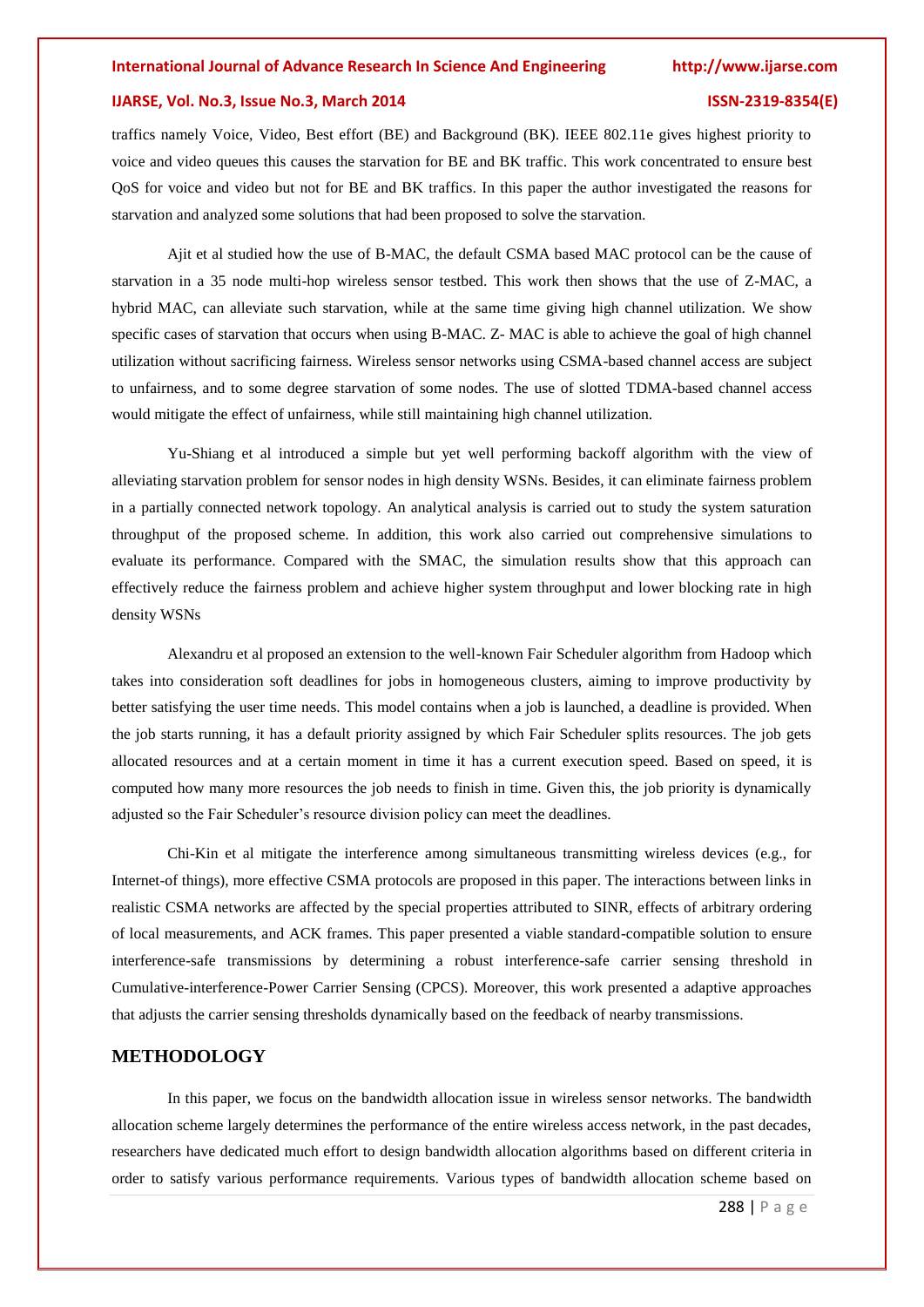# **IJARSE, Vol. No.3, Issue No.3, March 2014 ISSN-2319-8354(E)**

traffics namely Voice, Video, Best effort (BE) and Background (BK). IEEE 802.11e gives highest priority to voice and video queues this causes the starvation for BE and BK traffic. This work concentrated to ensure best QoS for voice and video but not for BE and BK traffics. In this paper the author investigated the reasons for starvation and analyzed some solutions that had been proposed to solve the starvation.

Ajit et al studied how the use of B-MAC, the default CSMA based MAC protocol can be the cause of starvation in a 35 node multi-hop wireless sensor testbed. This work then shows that the use of Z-MAC, a hybrid MAC, can alleviate such starvation, while at the same time giving high channel utilization. We show specific cases of starvation that occurs when using B-MAC. Z-MAC is able to achieve the goal of high channel utilization without sacrificing fairness. Wireless sensor networks using CSMA-based channel access are subject to unfairness, and to some degree starvation of some nodes. The use of slotted TDMA-based channel access would mitigate the effect of unfairness, while still maintaining high channel utilization.

Yu-Shiang et al introduced a simple but yet well performing backoff algorithm with the view of alleviating starvation problem for sensor nodes in high density WSNs. Besides, it can eliminate fairness problem in a partially connected network topology. An analytical analysis is carried out to study the system saturation throughput of the proposed scheme. In addition, this work also carried out comprehensive simulations to evaluate its performance. Compared with the SMAC, the simulation results show that this approach can effectively reduce the fairness problem and achieve higher system throughput and lower blocking rate in high density WSNs

Alexandru et al proposed an extension to the well-known Fair Scheduler algorithm from Hadoop which takes into consideration soft deadlines for jobs in homogeneous clusters, aiming to improve productivity by better satisfying the user time needs. This model contains when a job is launched, a deadline is provided. When the job starts running, it has a default priority assigned by which Fair Scheduler splits resources. The job gets allocated resources and at a certain moment in time it has a current execution speed. Based on speed, it is computed how many more resources the job needs to finish in time. Given this, the job priority is dynamically adjusted so the Fair Scheduler's resource division policy can meet the deadlines.

Chi-Kin et al mitigate the interference among simultaneous transmitting wireless devices (e.g., for Internet-of things), more effective CSMA protocols are proposed in this paper. The interactions between links in realistic CSMA networks are affected by the special properties attributed to SINR, effects of arbitrary ordering of local measurements, and ACK frames. This paper presented a viable standard-compatible solution to ensure interference-safe transmissions by determining a robust interference-safe carrier sensing threshold in Cumulative-interference-Power Carrier Sensing (CPCS). Moreover, this work presented a adaptive approaches that adjusts the carrier sensing thresholds dynamically based on the feedback of nearby transmissions.

# **METHODOLOGY**

In this paper, we focus on the bandwidth allocation issue in wireless sensor networks. The bandwidth allocation scheme largely determines the performance of the entire wireless access network, in the past decades, researchers have dedicated much effort to design bandwidth allocation algorithms based on different criteria in order to satisfy various performance requirements. Various types of bandwidth allocation scheme based on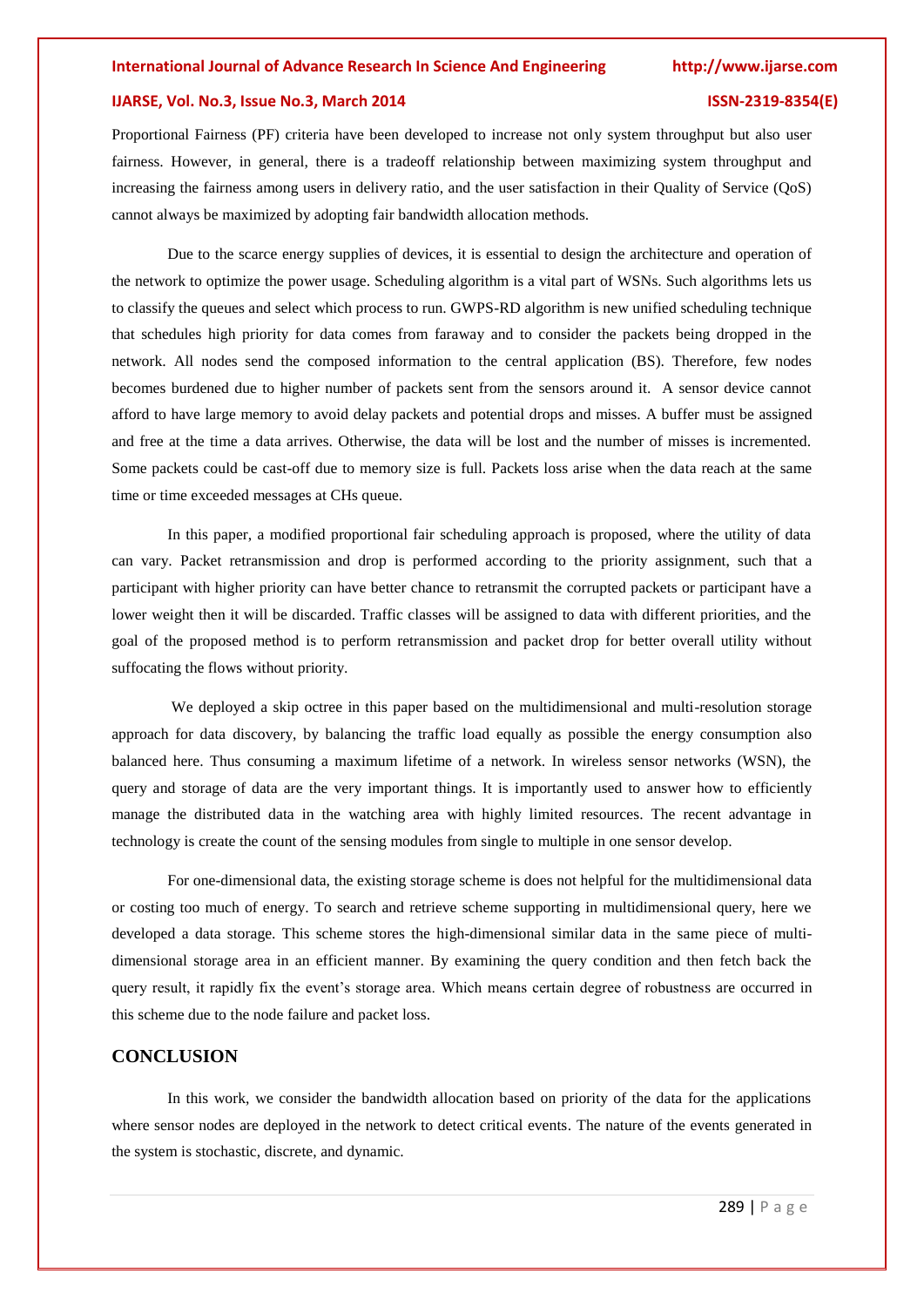# **IJARSE, Vol. No.3, Issue No.3, March 2014 ISSN-2319-8354(E)**

Proportional Fairness (PF) criteria have been developed to increase not only system throughput but also user fairness. However, in general, there is a tradeoff relationship between maximizing system throughput and increasing the fairness among users in delivery ratio, and the user satisfaction in their Quality of Service (QoS) cannot always be maximized by adopting fair bandwidth allocation methods.

Due to the scarce energy supplies of devices, it is essential to design the architecture and operation of the network to optimize the power usage. Scheduling algorithm is a vital part of WSNs. Such algorithms lets us to classify the queues and select which process to run. GWPS-RD algorithm is new unified scheduling technique that schedules high priority for data comes from faraway and to consider the packets being dropped in the network. All nodes send the composed information to the central application (BS). Therefore, few nodes becomes burdened due to higher number of packets sent from the sensors around it. A sensor device cannot afford to have large memory to avoid delay packets and potential drops and misses. A buffer must be assigned and free at the time a data arrives. Otherwise, the data will be lost and the number of misses is incremented. Some packets could be cast-off due to memory size is full. Packets loss arise when the data reach at the same time or time exceeded messages at CHs queue.

In this paper, a modified proportional fair scheduling approach is proposed, where the utility of data can vary. Packet retransmission and drop is performed according to the priority assignment, such that a participant with higher priority can have better chance to retransmit the corrupted packets or participant have a lower weight then it will be discarded. Traffic classes will be assigned to data with different priorities, and the goal of the proposed method is to perform retransmission and packet drop for better overall utility without suffocating the flows without priority.

We deployed a skip octree in this paper based on the multidimensional and multi-resolution storage approach for data discovery, by balancing the traffic load equally as possible the energy consumption also balanced here. Thus consuming a maximum lifetime of a network. In wireless sensor networks (WSN), the query and storage of data are the very important things. It is importantly used to answer how to efficiently manage the distributed data in the watching area with highly limited resources. The recent advantage in technology is create the count of the sensing modules from single to multiple in one sensor develop.

For one-dimensional data, the existing storage scheme is does not helpful for the multidimensional data or costing too much of energy. To search and retrieve scheme supporting in multidimensional query, here we developed a data storage. This scheme stores the high-dimensional similar data in the same piece of multidimensional storage area in an efficient manner. By examining the query condition and then fetch back the query result, it rapidly fix the event's storage area. Which means certain degree of robustness are occurred in this scheme due to the node failure and packet loss.

# **CONCLUSION**

In this work, we consider the bandwidth allocation based on priority of the data for the applications where sensor nodes are deployed in the network to detect critical events. The nature of the events generated in the system is stochastic, discrete, and dynamic.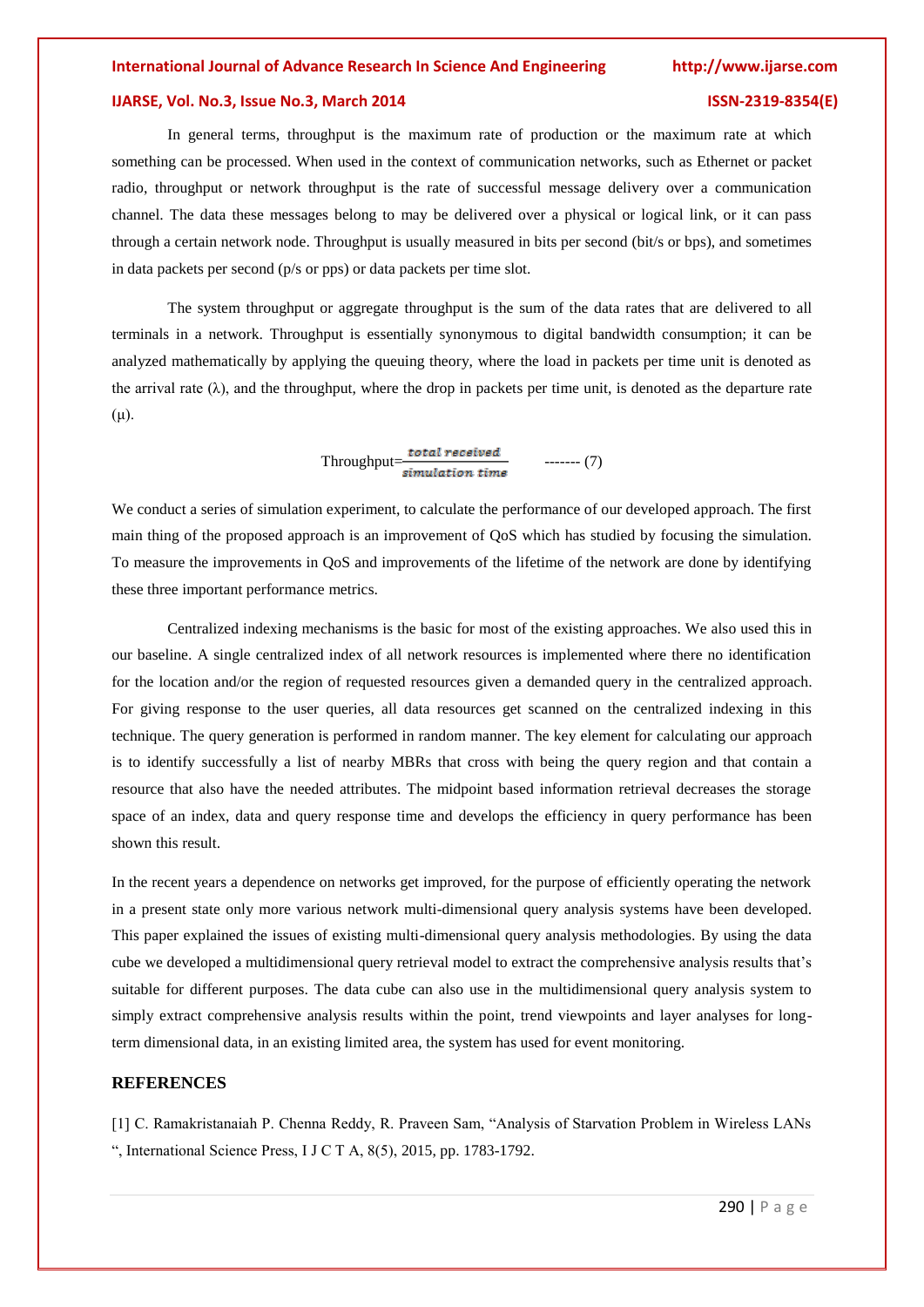# **IJARSE, Vol. No.3, Issue No.3, March 2014 ISSN-2319-8354(E)**

In general terms, throughput is the maximum rate of production or the maximum rate at which something can be processed. When used in the context of communication networks, such as Ethernet or packet radio, throughput or network throughput is the rate of successful message delivery over a communication channel. The data these messages belong to may be delivered over a physical or logical link, or it can pass through a certain network node. Throughput is usually measured in bits per second (bit/s or bps), and sometimes in data packets per second (p/s or pps) or data packets per time slot.

The system throughput or aggregate throughput is the sum of the data rates that are delivered to all terminals in a network. Throughput is essentially synonymous to digital bandwidth consumption; it can be analyzed mathematically by applying the queuing theory, where the load in packets per time unit is denoted as the arrival rate ( $\lambda$ ), and the throughput, where the drop in packets per time unit, is denoted as the departure rate  $(\mu)$ .

 $Throughout = \frac{total\ received}{simulation\ time} \qquad \qquad (7)$ 

We conduct a series of simulation experiment, to calculate the performance of our developed approach. The first main thing of the proposed approach is an improvement of QoS which has studied by focusing the simulation. To measure the improvements in QoS and improvements of the lifetime of the network are done by identifying these three important performance metrics.

Centralized indexing mechanisms is the basic for most of the existing approaches. We also used this in our baseline. A single centralized index of all network resources is implemented where there no identification for the location and/or the region of requested resources given a demanded query in the centralized approach. For giving response to the user queries, all data resources get scanned on the centralized indexing in this technique. The query generation is performed in random manner. The key element for calculating our approach is to identify successfully a list of nearby MBRs that cross with being the query region and that contain a resource that also have the needed attributes. The midpoint based information retrieval decreases the storage space of an index, data and query response time and develops the efficiency in query performance has been shown this result.

In the recent years a dependence on networks get improved, for the purpose of efficiently operating the network in a present state only more various network multi-dimensional query analysis systems have been developed. This paper explained the issues of existing multi-dimensional query analysis methodologies. By using the data cube we developed a multidimensional query retrieval model to extract the comprehensive analysis results that's suitable for different purposes. The data cube can also use in the multidimensional query analysis system to simply extract comprehensive analysis results within the point, trend viewpoints and layer analyses for longterm dimensional data, in an existing limited area, the system has used for event monitoring.

### **REFERENCES**

[1] C. Ramakristanaiah P. Chenna Reddy, R. Praveen Sam, "Analysis of Starvation Problem in Wireless LANs ", International Science Press, I J C T A, 8(5), 2015, pp. 1783-1792.